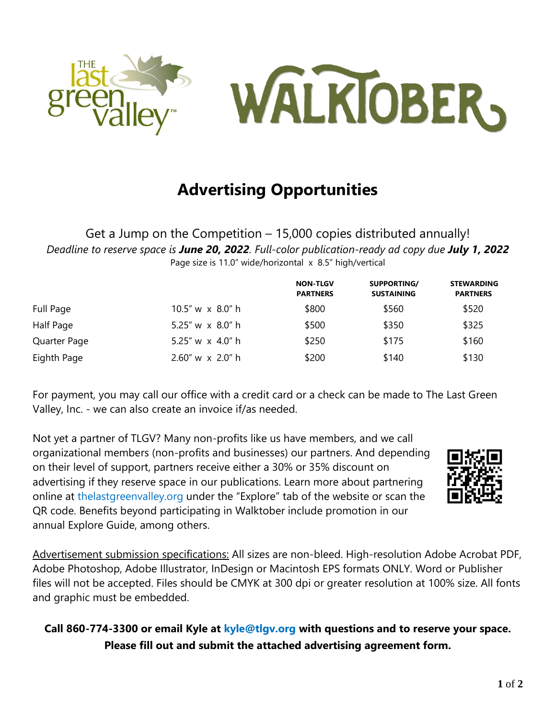

# **Advertising Opportunities**

Get a Jump on the Competition – 15,000 copies distributed annually! *Deadline to reserve space is June 20, 2022. Full-color publication-ready ad copy due July 1, 2022* Page size is 11.0" wide/horizontal x 8.5" high/vertical

|              |                         | <b>NON-TLGV</b><br><b>PARTNERS</b> | SUPPORTING/<br><b>SUSTAINING</b> | <b>STEWARDING</b><br><b>PARTNERS</b> |
|--------------|-------------------------|------------------------------------|----------------------------------|--------------------------------------|
| Full Page    | $10.5''$ w x $8.0''$ h  | \$800                              | \$560                            | \$520                                |
| Half Page    | 5.25" w $\times$ 8.0" h | \$500                              | \$350                            | \$325                                |
| Quarter Page | 5.25" w x 4.0" h        | \$250                              | \$175                            | \$160                                |
| Eighth Page  | $2.60''$ w x $2.0''$ h  | \$200                              | \$140                            | \$130                                |

For payment, you may call our office with a credit card or a check can be made to The Last Green Valley, Inc. - we can also create an invoice if/as needed.

Not yet a partner of TLGV? Many non-profits like us have members, and we call organizational members (non-profits and businesses) our partners. And depending on their level of support, partners receive either a 30% or 35% discount on advertising if they reserve space in our publications. Learn more about partnering online at thelastgreenvalley.org under the "Explore" tab of the website or scan the QR code. Benefits beyond participating in Walktober include promotion in our annual Explore Guide, among others.



Advertisement submission specifications: All sizes are non-bleed. High-resolution Adobe Acrobat PDF, Adobe Photoshop, Adobe Illustrator, InDesign or Macintosh EPS formats ONLY. Word or Publisher files will not be accepted. Files should be CMYK at 300 dpi or greater resolution at 100% size. All fonts and graphic must be embedded.

## **Call 860-774-3300 or email Kyle at kyle@tlgv.org with questions and to reserve your space. Please fill out and submit the attached advertising agreement form.**